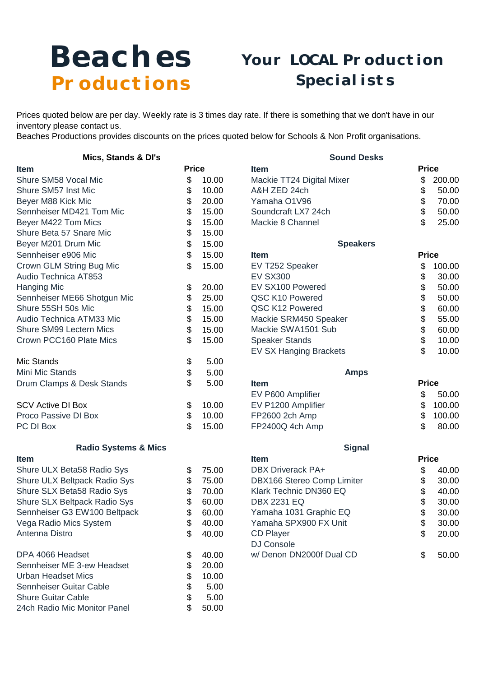## Beaches Productions

## Your LOCAL Production Specialists

Prices quoted below are per day. Weekly rate is 3 times day rate. If there is something that we don't have in our inventory please contact us.

Beaches Productions provides discounts on the prices quoted below for Schools & Non Profit organisations.

| Mics, Stands & DI's             |              |       | <b>Sound Desks</b>            |              |        |
|---------------------------------|--------------|-------|-------------------------------|--------------|--------|
| <b>Item</b>                     | <b>Price</b> |       | <b>Item</b>                   | <b>Price</b> |        |
| Shure SM58 Vocal Mic            | \$           | 10.00 | Mackie TT24 Digital Mixer     | \$           | 200.00 |
| Shure SM57 Inst Mic             | \$           | 10.00 | A&H ZED 24ch                  | \$           | 50.00  |
| Beyer M88 Kick Mic              | \$           | 20.00 | Yamaha O1V96                  | \$           | 70.00  |
| Sennheiser MD421 Tom Mic        | \$           | 15.00 | Soundcraft LX7 24ch           | \$           | 50.00  |
| Beyer M422 Tom Mics             | \$           | 15.00 | Mackie 8 Channel              | \$           | 25.00  |
| Shure Beta 57 Snare Mic         | \$           | 15.00 |                               |              |        |
| Beyer M201 Drum Mic             | \$           | 15.00 | <b>Speakers</b>               |              |        |
| Sennheiser e906 Mic             | \$           | 15.00 | <b>Item</b>                   | <b>Price</b> |        |
| Crown GLM String Bug Mic        | \$           | 15.00 | EV T252 Speaker               | \$           | 100.00 |
| Audio Technica AT853            |              |       | <b>EV SX300</b>               | \$           | 30.00  |
| <b>Hanging Mic</b>              | \$           | 20.00 | EV SX100 Powered              | \$           | 50.00  |
| Sennheiser ME66 Shotgun Mic     | \$           | 25.00 | QSC K10 Powered               | \$           | 50.00  |
| Shure 55SH 50s Mic              | \$           | 15.00 | QSC K12 Powered               | \$           | 60.00  |
| Audio Technica ATM33 Mic        | \$           | 15.00 | Mackie SRM450 Speaker         | \$           | 55.00  |
| <b>Shure SM99 Lectern Mics</b>  | \$           | 15.00 | Mackie SWA1501 Sub            | \$           | 60.00  |
| Crown PCC160 Plate Mics         | \$           | 15.00 | <b>Speaker Stands</b>         | \$           | 10.00  |
|                                 |              |       | <b>EV SX Hanging Brackets</b> | \$           | 10.00  |
| Mic Stands                      | \$           | 5.00  |                               |              |        |
| Mini Mic Stands                 | \$           | 5.00  | <b>Amps</b>                   |              |        |
| Drum Clamps & Desk Stands       | \$           | 5.00  | <b>Item</b>                   | <b>Price</b> |        |
|                                 |              |       | EV P600 Amplifier             | \$           | 50.00  |
| <b>SCV Active DI Box</b>        | \$           | 10.00 | EV P1200 Amplifier            | \$           | 100.00 |
| Proco Passive DI Box            | \$           | 10.00 | FP2600 2ch Amp                | \$           | 100.00 |
| PC DI Box                       | \$           | 15.00 | FP2400Q 4ch Amp               | \$           | 80.00  |
| <b>Radio Systems &amp; Mics</b> |              |       | <b>Signal</b>                 |              |        |
| <b>Item</b>                     |              |       | <b>Item</b>                   | <b>Price</b> |        |
| Shure ULX Beta58 Radio Sys      | \$           | 75.00 | <b>DBX Driverack PA+</b>      | \$           | 40.00  |
| Shure ULX Beltpack Radio Sys    | \$           | 75.00 | DBX166 Stereo Comp Limiter    | \$           | 30.00  |
| Shure SLX Beta58 Radio Sys      | \$           | 70.00 | Klark Technic DN360 EQ        |              | 40.00  |
| Shure SLX Beltpack Radio Sys    | \$           | 60.00 | <b>DBX 2231 EQ</b>            |              | 30.00  |
| Sennheiser G3 EW100 Beltpack    | \$           | 60.00 | Yamaha 1031 Graphic EQ        |              | 30.00  |
| Vega Radio Mics System          | \$           | 40.00 | Yamaha SPX900 FX Unit         | \$<br>\$     | 30.00  |
| Antenna Distro                  | \$           | 40.00 | <b>CD Player</b>              | \$           | 20.00  |
|                                 |              |       | DJ Console                    |              |        |
| DPA 4066 Headset                | \$           | 40.00 | w/Denon DN2000f Dual CD       | \$           | 50.00  |
| Sennheiser ME 3-ew Headset      | \$           | 20.00 |                               |              |        |
| <b>Urban Headset Mics</b>       | \$           | 10.00 |                               |              |        |
| Sennheiser Guitar Cable         | \$           | 5.00  |                               |              |        |
| <b>Shure Guitar Cable</b>       | \$           | 5.00  |                               |              |        |
| 24ch Radio Mic Monitor Panel    | \$           | 50.00 |                               |              |        |